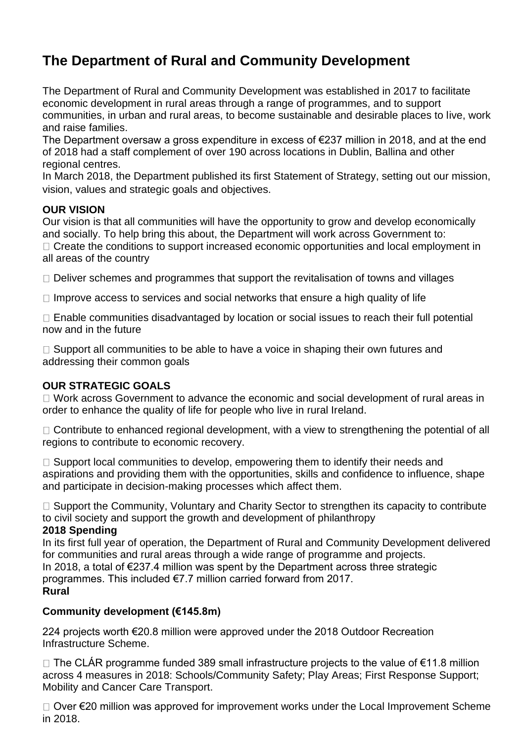## **The Department of Rural and Community Development**

The Department of Rural and Community Development was established in 2017 to facilitate economic development in rural areas through a range of programmes, and to support communities, in urban and rural areas, to become sustainable and desirable places to live, work and raise families.

The Department oversaw a gross expenditure in excess of €237 million in 2018, and at the end of 2018 had a staff complement of over 190 across locations in Dublin, Ballina and other regional centres.

In March 2018, the Department published its first Statement of Strategy, setting out our mission, vision, values and strategic goals and objectives.

### **OUR VISION**

Our vision is that all communities will have the opportunity to grow and develop economically and socially. To help bring this about, the Department will work across Government to: □ Create the conditions to support increased economic opportunities and local employment in all areas of the country

 $\Box$  Deliver schemes and programmes that support the revitalisation of towns and villages

 $\Box$  Improve access to services and social networks that ensure a high quality of life

□ Enable communities disadvantaged by location or social issues to reach their full potential now and in the future

 $\Box$  Support all communities to be able to have a voice in shaping their own futures and addressing their common goals

### **OUR STRATEGIC GOALS**

 $\Box$  Work across Government to advance the economic and social development of rural areas in order to enhance the quality of life for people who live in rural Ireland.

 $\Box$  Contribute to enhanced regional development, with a view to strengthening the potential of all regions to contribute to economic recovery.

 $\Box$  Support local communities to develop, empowering them to identify their needs and aspirations and providing them with the opportunities, skills and confidence to influence, shape and participate in decision-making processes which affect them.

 $\Box$  Support the Community, Voluntary and Charity Sector to strengthen its capacity to contribute to civil society and support the growth and development of philanthropy

### **2018 Spending**

In its first full year of operation, the Department of Rural and Community Development delivered for communities and rural areas through a wide range of programme and projects. In 2018, a total of €237.4 million was spent by the Department across three strategic programmes. This included €7.7 million carried forward from 2017. **Rural**

## **Community development (€145.8m)**

224 projects worth €20.8 million were approved under the 2018 Outdoor Recreation Infrastructure Scheme.

 $□$  The CLÁR programme funded 389 small infrastructure projects to the value of €11.8 million across 4 measures in 2018: Schools/Community Safety; Play Areas; First Response Support; Mobility and Cancer Care Transport.

Over €20 million was approved for improvement works under the Local Improvement Scheme in 2018.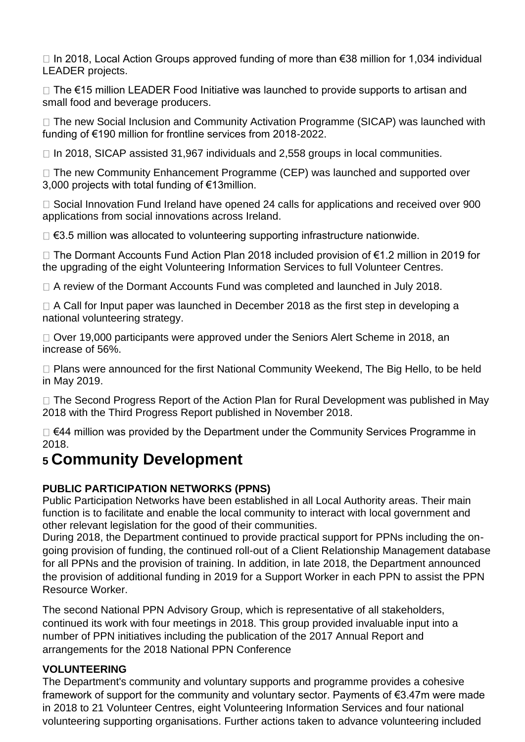In 2018, Local Action Groups approved funding of more than €38 million for 1,034 individual LEADER projects.

The €15 million LEADER Food Initiative was launched to provide supports to artisan and small food and beverage producers.

 $\Box$  The new Social Inclusion and Community Activation Programme (SICAP) was launched with funding of €190 million for frontline services from 2018-2022.

 $\Box$  In 2018, SICAP assisted 31,967 individuals and 2,558 groups in local communities.

 $\Box$  The new Community Enhancement Programme (CEP) was launched and supported over 3,000 projects with total funding of €13million.

 $\Box$  Social Innovation Fund Ireland have opened 24 calls for applications and received over 900 applications from social innovations across Ireland.

€3.5 million was allocated to volunteering supporting infrastructure nationwide.

The Dormant Accounts Fund Action Plan 2018 included provision of €1.2 million in 2019 for the upgrading of the eight Volunteering Information Services to full Volunteer Centres.

□ A review of the Dormant Accounts Fund was completed and launched in July 2018.

 $\Box$  A Call for Input paper was launched in December 2018 as the first step in developing a national volunteering strategy.

□ Over 19,000 participants were approved under the Seniors Alert Scheme in 2018, an increase of 56%.

 $\Box$  Plans were announced for the first National Community Weekend, The Big Hello, to be held in May 2019.

□ The Second Progress Report of the Action Plan for Rural Development was published in May 2018 with the Third Progress Report published in November 2018.

€44 million was provided by the Department under the Community Services Programme in 2018.

# **<sup>5</sup>Community Development**

## **PUBLIC PARTICIPATION NETWORKS (PPNS)**

Public Participation Networks have been established in all Local Authority areas. Their main function is to facilitate and enable the local community to interact with local government and other relevant legislation for the good of their communities.

During 2018, the Department continued to provide practical support for PPNs including the ongoing provision of funding, the continued roll-out of a Client Relationship Management database for all PPNs and the provision of training. In addition, in late 2018, the Department announced the provision of additional funding in 2019 for a Support Worker in each PPN to assist the PPN Resource Worker.

The second National PPN Advisory Group, which is representative of all stakeholders, continued its work with four meetings in 2018. This group provided invaluable input into a number of PPN initiatives including the publication of the 2017 Annual Report and arrangements for the 2018 National PPN Conference

### **VOLUNTEERING**

The Department's community and voluntary supports and programme provides a cohesive framework of support for the community and voluntary sector. Payments of €3.47m were made in 2018 to 21 Volunteer Centres, eight Volunteering Information Services and four national volunteering supporting organisations. Further actions taken to advance volunteering included